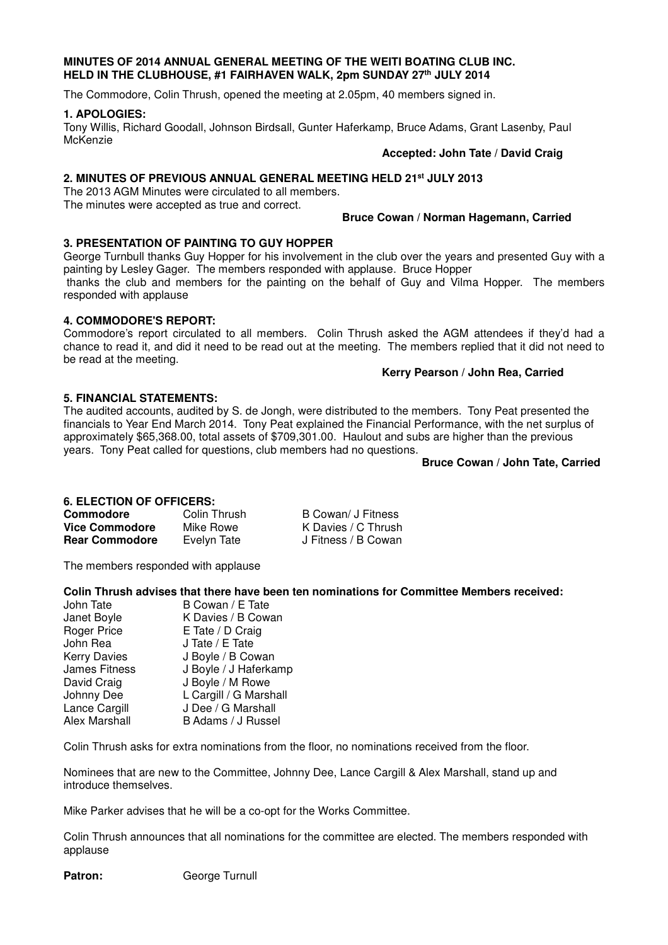#### **MINUTES OF 2014 ANNUAL GENERAL MEETING OF THE WEITI BOATING CLUB INC. HELD IN THE CLUBHOUSE, #1 FAIRHAVEN WALK, 2pm SUNDAY 27th JULY 2014**

The Commodore, Colin Thrush, opened the meeting at 2.05pm, 40 members signed in.

#### **1. APOLOGIES:**

Tony Willis, Richard Goodall, Johnson Birdsall, Gunter Haferkamp, Bruce Adams, Grant Lasenby, Paul **McKenzie** 

#### **Accepted: John Tate / David Craig**

# **2. MINUTES OF PREVIOUS ANNUAL GENERAL MEETING HELD 21st JULY 2013**

The 2013 AGM Minutes were circulated to all members. The minutes were accepted as true and correct.

## **Bruce Cowan / Norman Hagemann, Carried**

# **3. PRESENTATION OF PAINTING TO GUY HOPPER**

George Turnbull thanks Guy Hopper for his involvement in the club over the years and presented Guy with a painting by Lesley Gager. The members responded with applause. Bruce Hopper

 thanks the club and members for the painting on the behalf of Guy and Vilma Hopper. The members responded with applause

#### **4. COMMODORE'S REPORT:**

Commodore's report circulated to all members. Colin Thrush asked the AGM attendees if they'd had a chance to read it, and did it need to be read out at the meeting. The members replied that it did not need to be read at the meeting.

## **Kerry Pearson / John Rea, Carried**

# **5. FINANCIAL STATEMENTS:**

The audited accounts, audited by S. de Jongh, were distributed to the members. Tony Peat presented the financials to Year End March 2014. Tony Peat explained the Financial Performance, with the net surplus of approximately \$65,368.00, total assets of \$709,301.00. Haulout and subs are higher than the previous years. Tony Peat called for questions, club members had no questions.

#### **Bruce Cowan / John Tate, Carried**

# **6. ELECTION OF OFFICERS:**

| Commodore             | Colin Thrush | B Cowan/ J Fitness  |
|-----------------------|--------------|---------------------|
| <b>Vice Commodore</b> | Mike Rowe    | K Davies / C Thrush |
| <b>Rear Commodore</b> | Evelyn Tate  | J Fitness / B Cowan |

The members responded with applause

#### **Colin Thrush advises that there have been ten nominations for Committee Members received:**

| John Tate            | B Cowan / E Tate       |
|----------------------|------------------------|
| Janet Boyle          | K Davies / B Cowan     |
| <b>Roger Price</b>   | E Tate / D Craig       |
| John Rea             | J Tate / E Tate        |
| <b>Kerry Davies</b>  | J Boyle / B Cowan      |
| <b>James Fitness</b> | J Boyle / J Haferkamp  |
| David Craig          | J Boyle / M Rowe       |
| Johnny Dee           | L Cargill / G Marshall |
| Lance Cargill        | J Dee / G Marshall     |
| Alex Marshall        | B Adams / J Russel     |

Colin Thrush asks for extra nominations from the floor, no nominations received from the floor.

Nominees that are new to the Committee, Johnny Dee, Lance Cargill & Alex Marshall, stand up and introduce themselves.

Mike Parker advises that he will be a co-opt for the Works Committee.

Colin Thrush announces that all nominations for the committee are elected. The members responded with applause

Patron: **George Turnull**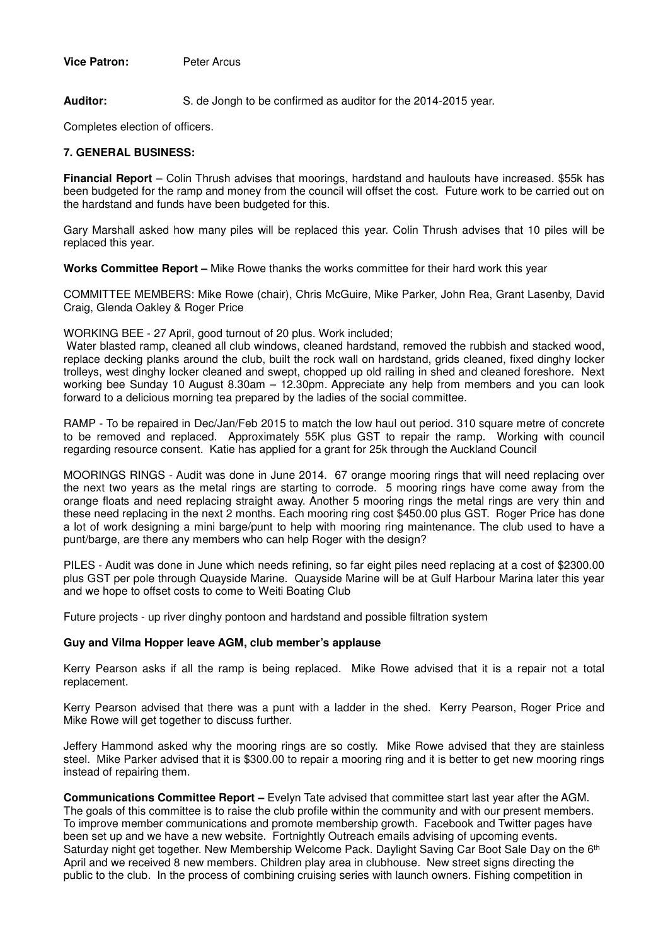**Vice Patron:** Peter Arcus

**Auditor:** S. de Jongh to be confirmed as auditor for the 2014-2015 year.

Completes election of officers.

## **7. GENERAL BUSINESS:**

**Financial Report** – Colin Thrush advises that moorings, hardstand and haulouts have increased. \$55k has been budgeted for the ramp and money from the council will offset the cost. Future work to be carried out on the hardstand and funds have been budgeted for this.

Gary Marshall asked how many piles will be replaced this year. Colin Thrush advises that 10 piles will be replaced this year.

**Works Committee Report –** Mike Rowe thanks the works committee for their hard work this year

COMMITTEE MEMBERS: Mike Rowe (chair), Chris McGuire, Mike Parker, John Rea, Grant Lasenby, David Craig, Glenda Oakley & Roger Price

WORKING BEE - 27 April, good turnout of 20 plus. Work included;

 Water blasted ramp, cleaned all club windows, cleaned hardstand, removed the rubbish and stacked wood, replace decking planks around the club, built the rock wall on hardstand, grids cleaned, fixed dinghy locker trolleys, west dinghy locker cleaned and swept, chopped up old railing in shed and cleaned foreshore. Next working bee Sunday 10 August 8.30am – 12.30pm. Appreciate any help from members and you can look forward to a delicious morning tea prepared by the ladies of the social committee.

RAMP - To be repaired in Dec/Jan/Feb 2015 to match the low haul out period. 310 square metre of concrete to be removed and replaced. Approximately 55K plus GST to repair the ramp. Working with council regarding resource consent. Katie has applied for a grant for 25k through the Auckland Council

MOORINGS RINGS - Audit was done in June 2014. 67 orange mooring rings that will need replacing over the next two years as the metal rings are starting to corrode. 5 mooring rings have come away from the orange floats and need replacing straight away. Another 5 mooring rings the metal rings are very thin and these need replacing in the next 2 months. Each mooring ring cost \$450.00 plus GST. Roger Price has done a lot of work designing a mini barge/punt to help with mooring ring maintenance. The club used to have a punt/barge, are there any members who can help Roger with the design?

PILES - Audit was done in June which needs refining, so far eight piles need replacing at a cost of \$2300.00 plus GST per pole through Quayside Marine. Quayside Marine will be at Gulf Harbour Marina later this year and we hope to offset costs to come to Weiti Boating Club

Future projects - up river dinghy pontoon and hardstand and possible filtration system

#### **Guy and Vilma Hopper leave AGM, club member's applause**

Kerry Pearson asks if all the ramp is being replaced. Mike Rowe advised that it is a repair not a total replacement.

Kerry Pearson advised that there was a punt with a ladder in the shed. Kerry Pearson, Roger Price and Mike Rowe will get together to discuss further.

Jeffery Hammond asked why the mooring rings are so costly. Mike Rowe advised that they are stainless steel. Mike Parker advised that it is \$300.00 to repair a mooring ring and it is better to get new mooring rings instead of repairing them.

**Communications Committee Report –** Evelyn Tate advised that committee start last year after the AGM. The goals of this committee is to raise the club profile within the community and with our present members. To improve member communications and promote membership growth. Facebook and Twitter pages have been set up and we have a new website. Fortnightly Outreach emails advising of upcoming events. Saturday night get together. New Membership Welcome Pack. Daylight Saving Car Boot Sale Day on the 6<sup>th</sup> April and we received 8 new members. Children play area in clubhouse. New street signs directing the public to the club. In the process of combining cruising series with launch owners. Fishing competition in